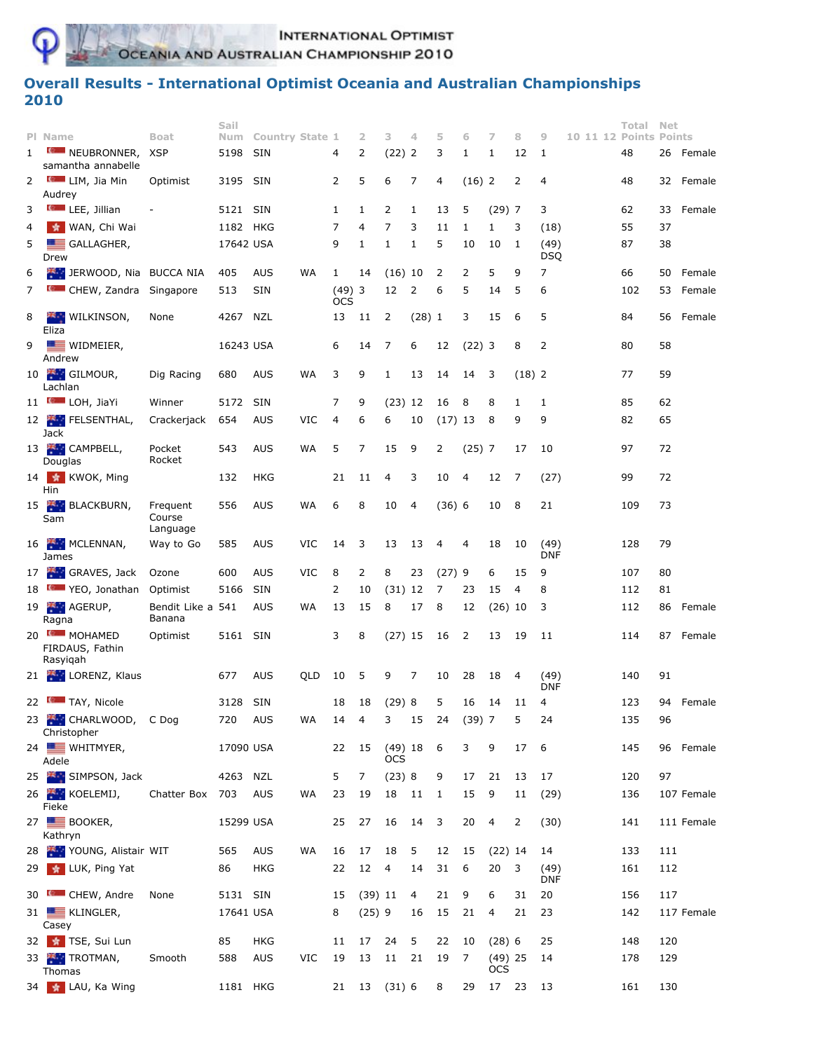**INTERNATIONAL OPTIMIST** 

OCEANIA AND AUSTRALIAN CHAMPIONSHIP 2010

## **Overall Results - International Optimist Oceania and Australian Championships 2010**

|              |                                       |                                | Sail      |                     |           |                        |                |                          |             |           |          |                |          |                    |  | Total                  | <b>Net</b> |            |
|--------------|---------------------------------------|--------------------------------|-----------|---------------------|-----------|------------------------|----------------|--------------------------|-------------|-----------|----------|----------------|----------|--------------------|--|------------------------|------------|------------|
|              | PI Name                               | <b>Boat</b>                    |           | Num Country State 1 |           |                        | 2              | з                        | 4           | 5         | 6        | 7              | 8        | 9                  |  | 10 11 12 Points Points |            |            |
| $\mathbf{1}$ | <b>MEUBRONNER</b> ,                   | <b>XSP</b>                     | 5198      | <b>SIN</b>          |           | 4                      | 2              | $(22)$ 2                 |             | 3         | 1        | $\mathbf{1}$   | 12       | 1                  |  | 48                     |            | 26 Female  |
|              | samantha annabelle                    |                                |           |                     |           |                        |                |                          |             |           |          |                |          |                    |  |                        |            |            |
| 2            | <b>Computer</b> LIM, Jia Min          | Optimist                       | 3195 SIN  |                     |           | 2                      | 5              | 6                        | 7           | 4         | $(16)$ 2 |                | 2        | 4                  |  | 48                     |            | 32 Female  |
|              | Audrey                                |                                |           |                     |           |                        |                |                          |             |           |          |                |          |                    |  |                        |            |            |
| 3            | <b>Computer</b> LEE, Jillian          |                                | 5121      | SIN                 |           | 1                      | 1              | 2                        | 1           | 13        | 5        | $(29)$ 7       |          | 3                  |  | 62                     | 33         | Female     |
| 4            | <b>A WAN, Chi Wai</b>                 |                                | 1182 HKG  |                     |           | 7                      | 4              | 7                        | 3           | 11        | 1        | $\mathbf{1}$   | 3        | (18)               |  | 55                     | 37         |            |
| 5            | GALLAGHER,                            |                                | 17642 USA |                     |           | 9                      | $\mathbf{1}$   | 1                        | 1           | 5         | 10       | 10             | 1        | (49)               |  | 87                     | 38         |            |
|              | Drew                                  |                                |           |                     |           |                        |                |                          |             |           |          |                |          | <b>DSQ</b>         |  |                        |            |            |
| 6            | <b>EXAMPLE DERWOOD, Nia BUCCA NIA</b> |                                | 405       | <b>AUS</b>          | WA        | 1                      | 14             | $(16)$ 10                |             | 2         | 2        | 5              | 9        | 7                  |  | 66                     | 50         | Female     |
| 7            | <b>CHEW, Zandra Singapore</b>         |                                | 513       | <b>SIN</b>          |           | $(49)$ 3<br><b>OCS</b> |                | 12                       | 2           | 6         | 5        | 14             | 5        | 6                  |  | 102                    | 53         | Female     |
| 8            | <b>WILKINSON,</b><br>Eliza            | None                           | 4267      | NZL                 |           | 13                     | 11             | 2                        | $(28)$ 1    |           | 3        | 15             | 6        | 5                  |  | 84                     | 56         | Female     |
| 9            | $\equiv$ WIDMEIER,                    |                                | 16243 USA |                     |           | 6                      | 14             | 7                        | 6           | 12        | $(22)$ 3 |                | 8        | 2                  |  | 80                     | 58         |            |
|              | Andrew                                |                                |           |                     |           |                        |                |                          |             |           |          |                |          |                    |  |                        |            |            |
|              | 10 GILMOUR,<br>Lachlan                | Dig Racing                     | 680       | <b>AUS</b>          | <b>WA</b> | 3                      | 9              | 1                        | 13          | 14        | 14       | 3              | $(18)$ 2 |                    |  | 77                     | 59         |            |
|              | 11 <b>Company</b> LOH, JiaYi          | Winner                         | 5172      | <b>SIN</b>          |           | 7                      | 9              | $(23)$ 12                |             | 16        | 8        | 8              | 1        | 1                  |  | 85                     | 62         |            |
|              | 12 FELSENTHAL,                        | Crackerjack                    | 654       | <b>AUS</b>          | VIC       | 4                      | 6              | 6                        | 10          | $(17)$ 13 |          | 8              | 9        | 9                  |  | 82                     | 65         |            |
|              | Jack                                  |                                |           |                     |           |                        |                |                          |             |           |          |                |          |                    |  |                        |            |            |
|              | 13 CAMPBELL,<br>Douglas               | Pocket<br>Rocket               | 543       | <b>AUS</b>          | WA        | 5                      | 7              | 15                       | 9           | 2         | $(25)$ 7 |                | 17       | 10                 |  | 97                     | 72         |            |
|              | 14 KWOK, Ming<br>Hin                  |                                | 132       | <b>HKG</b>          |           | 21                     | 11             | 4                        | 3           | 10        | 4        | 12             | 7        | (27)               |  | 99                     | 72         |            |
|              | 15 BLACKBURN,<br>Sam                  | Frequent<br>Course<br>Language | 556       | <b>AUS</b>          | WA        | 6                      | 8              | 10                       | 4           | $(36)$ 6  |          | 10             | 8        | 21                 |  | 109                    | 73         |            |
|              | 16 MCLENNAN,<br>James                 | Way to Go                      | 585       | <b>AUS</b>          | VIC       | 14                     | 3              | 13                       | 13          | 4         | 4        | 18             | 10       | (49)<br><b>DNF</b> |  | 128                    | 79         |            |
|              | 17 GRAVES, Jack                       | Ozone                          | 600       | <b>AUS</b>          | VIC       | 8                      | 2              | 8                        | 23          | (27)9     |          | 6              | 15       | 9                  |  | 107                    | 80         |            |
|              | 18 VEO, Jonathan                      | Optimist                       | 5166      | <b>SIN</b>          |           | 2                      | 10             | $(31)$ 12                |             | 7         | 23       | 15             | 4        | 8                  |  | 112                    | 81         |            |
|              | 19 AGERUP,                            | Bendit Like a 541              |           | <b>AUS</b>          | WA        | 13                     | 15             | 8                        | 17          | 8         | 12       | $(26)$ 10      |          | 3                  |  | 112                    |            | 86 Female  |
|              | Ragna<br>20 MOHAMED                   | Banana<br>Optimist             | 5161 SIN  |                     |           | 3                      | 8              | $(27)$ 15                |             | 16        | 2        | 13             | 19       | 11                 |  | 114                    |            | 87 Female  |
|              | FIRDAUS, Fathin<br>Rasyigah           |                                |           |                     |           |                        |                |                          |             |           |          |                |          |                    |  |                        |            |            |
|              | 21 LORENZ, Klaus                      |                                | 677       | <b>AUS</b>          | QLD       | 10                     | 5              | 9                        | 7           | 10        | 28       | 18             | -4       | (49)               |  | 140                    | 91         |            |
|              |                                       |                                |           |                     |           |                        |                |                          |             |           |          |                |          | <b>DNF</b>         |  |                        |            |            |
|              | 22 MILL TAY, Nicole                   |                                | 3128 SIN  |                     |           | 18                     | 18             | (29)8                    |             | 5         | 16       | 14             | 11       | 4                  |  | 123                    |            | 94 Female  |
|              | 23 CHARLWOOD, C Dog<br>Christopher    |                                | 720 AUS   |                     | WA        | 14                     | $\overline{4}$ | $\mathsf{3}$             | $15\,$      | 24        | (39)7    |                | 5        | 24                 |  | 135                    | 96         |            |
|              | 24 WHITMYER,<br>Adele                 |                                | 17090 USA |                     |           | 22                     | 15             | <b>OCS</b>               | $(49)$ 18 6 |           | 3        | 9              | 17       | 6                  |  | 145                    |            | 96 Female  |
|              | 25 SIMPSON, Jack                      |                                | 4263 NZL  |                     |           | 5                      | 7              | (23) 8                   |             | 9         | 17       | 21             | 13       | 17                 |  | 120                    | 97         |            |
|              | 26 KOELEMIJ,<br>Fieke                 | Chatter Box 703                |           | AUS                 | WA        | 23                     | 19             | 18                       | 11 1        |           | 15       | 9              | 11       | (29)               |  | 136                    |            | 107 Female |
|              | 27 BOOKER,<br>Kathryn                 |                                | 15299 USA |                     |           | 25                     | 27             | 16                       | 14          | 3         | 20       | $\overline{4}$ | 2        | (30)               |  | 141                    |            | 111 Female |
|              | 28 YOUNG, Alistair WIT                |                                | 565       | <b>AUS</b>          | WA        | 16                     | 17             | 18                       | 5           | 12        | 15       | $(22)$ 14      |          | 14                 |  | 133                    | 111        |            |
|              | 29 * LUK, Ping Yat                    |                                | 86        | <b>HKG</b>          |           | 22                     | 12             | $\overline{\phantom{a}}$ | 14          | 31        | 6        | 20             | 3        | (49)<br>DNF        |  | 161                    | 112        |            |
|              | 30 CHEW, Andre                        | None                           | 5131 SIN  |                     |           | 15                     | $(39)$ 11      |                          | 4           | 21        | 9        | 6              | 31       | 20                 |  | 156                    | 117        |            |
|              | 31 <b>E</b> KLINGLER,<br>Casey        |                                | 17641 USA |                     |           | 8                      | $(25)$ 9       |                          | 16          | 15        | 21       | $\overline{4}$ | 21       | 23                 |  | 142                    |            | 117 Female |
|              | 32 * TSE, Sui Lun                     |                                | 85        | <b>HKG</b>          |           | 11                     | 17             | 24                       | 5           | 22        | 10       | (28) 6         |          | 25                 |  | 148                    | 120        |            |
|              | 33 TROTMAN,                           | Smooth                         | 588       | <b>AUS</b>          | VIC       | 19                     | 13             | 11                       | 21          | 19        | 7        | $(49)$ 25      |          | 14                 |  | 178                    | 129        |            |
|              | Thomas                                |                                |           |                     |           |                        |                |                          |             |           |          | <b>OCS</b>     |          |                    |  |                        |            |            |
|              | 34 * LAU, Ka Wing                     |                                | 1181 HKG  |                     |           |                        | 21 13 (31) 6 8 |                          |             |           | 29       | 17 23          |          | 13                 |  | 161                    | 130        |            |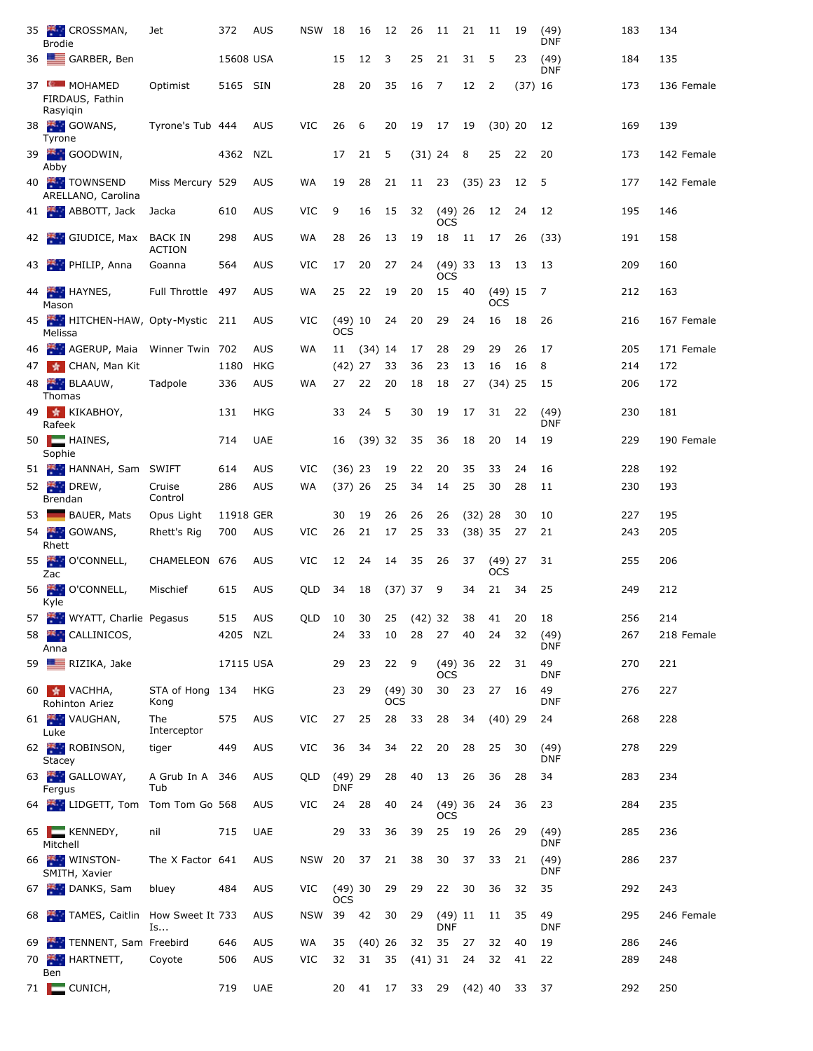|             | 35 CROSSMAN,<br><b>Brodie</b>                    | Jet                             | 372       | <b>AUS</b> | <b>NSW</b>           | 18                      | 16        | 12                   | 26        | 11                      | 21        | 11               | 19          | (49)<br><b>DNF</b> | 183 | 134        |
|-------------|--------------------------------------------------|---------------------------------|-----------|------------|----------------------|-------------------------|-----------|----------------------|-----------|-------------------------|-----------|------------------|-------------|--------------------|-----|------------|
|             | 36 GARBER, Ben                                   |                                 | 15608 USA |            |                      | 15                      | 12        | 3                    | 25        | 21                      | 31        | 5                | 23          | (49)<br>DNF        | 184 | 135        |
|             | 37 MOHAMED<br>FIRDAUS, Fathin<br>Rasyigin        | Optimist                        | 5165 SIN  |            |                      | 28                      | 20        | 35                   | 16        | 7                       | 12        | $\overline{2}$   | $(37)$ 16   |                    | 173 | 136 Female |
|             | 38 GOWANS,<br>Tyrone                             | Tyrone's Tub 444                |           | <b>AUS</b> | VIC                  | 26                      | 6         | 20                   | 19        | 17                      | 19        | $(30)$ 20        |             | 12                 | 169 | 139        |
|             | 39 GOODWIN,<br>Abby                              |                                 | 4362      | NZL        |                      | 17                      | 21        | 5                    | $(31)$ 24 |                         | 8         | 25               | 22          | 20                 | 173 | 142 Female |
|             | 40 TOWNSEND<br>ARELLANO, Carolina                | Miss Mercury 529                |           | <b>AUS</b> | WA                   | 19                      | 28        | 21                   | 11        | 23                      | $(35)$ 23 |                  | 12          | 5                  | 177 | 142 Female |
|             | 41 ABBOTT, Jack                                  | Jacka                           | 610       | <b>AUS</b> | VIC                  | 9                       | 16        | 15                   | 32        | $(49)$ 26<br>OCS        |           | 12               | 24          | 12                 | 195 | 146        |
|             | 42 GIUDICE, Max                                  | <b>BACK IN</b><br><b>ACTION</b> | 298       | <b>AUS</b> | WA                   | 28                      | 26        | 13                   | 19        | 18                      | 11        | 17               | 26          | (33)               | 191 | 158        |
|             | 43 PHILIP, Anna                                  | Goanna                          | 564       | <b>AUS</b> | VIC                  | 17                      | 20        | 27                   | 24        | $(49)$ 33<br><b>OCS</b> |           | 13               | 13          | 13                 | 209 | 160        |
|             | 44 HAYNES,<br>Mason                              | Full Throttle                   | 497       | <b>AUS</b> | WA                   | 25                      | 22        | 19                   | 20        | 15                      | 40        | $(49)$ 15<br>ocs |             | 7                  | 212 | 163        |
|             | 45 HITCHEN-HAW, Opty-Mystic 211<br>Melissa       |                                 |           | <b>AUS</b> | VIC                  | $(49)$ 10<br><b>OCS</b> |           | 24                   | 20        | 29                      | 24        | 16               | 18          | 26                 | 216 | 167 Female |
|             | 46 AGERUP, Maia Winner Twin 702                  |                                 |           | <b>AUS</b> | WA                   | 11                      | $(34)$ 14 |                      | 17        | 28                      | 29        | 29               | 26          | 17                 | 205 | 171 Female |
|             | 47 * CHAN, Man Kit                               |                                 | 1180      | <b>HKG</b> |                      | $(42)$ 27               |           | 33                   | 36        | 23                      | 13        | 16               | 16          | 8                  | 214 | 172        |
|             | 48 BLAAUW,<br>Thomas                             | Tadpole                         | 336       | <b>AUS</b> | WA                   | 27                      | 22        | 20                   | 18        | 18                      | 27        | $(34)$ 25        |             | 15                 | 206 | 172        |
|             | 49 * KIKABHOY,<br>Rafeek                         |                                 | 131       | <b>HKG</b> |                      | 33                      | 24        | 5                    | 30        | 19                      | 17        | 31               | 22          | (49)<br><b>DNF</b> | 230 | 181        |
|             | $50$ $\blacksquare$ HAINES,<br>Sophie            |                                 | 714       | <b>UAE</b> |                      | 16                      | $(39)$ 32 |                      | 35        | 36                      | 18        | 20               | 14          | 19                 | 229 | 190 Female |
|             | 51 HANNAH, Sam SWIFT                             |                                 | 614       | <b>AUS</b> | VIC                  | $(36)$ 23               |           | 19                   | 22        | 20                      | 35        | 33               | 24          | 16                 | 228 | 192        |
|             | 52 DREW,                                         | Cruise<br>Control               | 286       | <b>AUS</b> | WA                   | $(37)$ 26               |           | 25                   | 34        | 14                      | 25        | 30               | 28          | 11                 | 230 | 193        |
|             | Brendan                                          |                                 | 11918 GER |            |                      | 30                      | 19        | 26                   | 26        | 26                      |           |                  | 30          | 10                 | 227 | 195        |
| 53 <b>I</b> | BAUER, Mats                                      | Opus Light                      |           |            |                      |                         |           |                      |           |                         | $(32)$ 28 |                  |             |                    |     |            |
|             | 54 GOWANS,<br>Rhett                              | Rhett's Rig                     | 700       | <b>AUS</b> | VIC                  | 26                      | 21        | 17                   | 25        | 33                      | $(38)$ 35 |                  | 27          | 21                 | 243 | 205        |
|             | 55 <b>AM</b><br>O'CONNELL,<br>Zac                | CHAMELEON                       | 676       | <b>AUS</b> | <b>VIC</b>           | 12                      | 24        | 14                   | 35        | 26                      | 37        | $(49)$ 27<br>ocs |             | 31                 | 255 | 206        |
|             | 56 O'CONNELL,<br>Kyle                            | Mischief                        | 615       | <b>AUS</b> | QLD                  | 34                      | 18        | $(37)$ 37            |           | 9                       | 34        | 21               | 34          | 25                 | 249 | 212        |
|             | 57 WYATT, Charlie Pegasus                        |                                 | 515 AUS   |            | QLD 10 30 25 (42) 32 |                         |           |                      |           |                         |           |                  | 38 41 20 18 |                    | 256 | 214        |
|             | 58 K. CALLINICOS,<br>Anna                        |                                 | 4205 NZL  |            |                      | 24                      | 33        | 10                   | 28        | 27                      | 40        | 24               | 32          | (49)<br>DNF        | 267 | 218 Female |
|             | 59 RIZIKA, Jake                                  |                                 | 17115 USA |            |                      | 29                      | 23        | 22                   | - 9       | $(49)$ 36<br><b>OCS</b> |           | 22               | 31          | 49<br>DNF          | 270 | 221        |
|             | 60 <b>*</b> VACHHA,<br>Rohinton Ariez            | STA of Hong 134<br>Kong         |           | HKG        |                      | 23                      | 29        | (49)30<br><b>OCS</b> |           | 30                      | 23        | 27               | 16          | 49<br><b>DNF</b>   | 276 | 227        |
|             | 61 VAUGHAN,<br>Luke                              | The<br>Interceptor              | 575       | <b>AUS</b> | VIC                  | 27                      | 25        | 28                   | 33        | 28                      | 34        | $(40)$ 29        |             | 24                 | 268 | 228        |
|             | 62 ROBINSON,<br>Stacey                           | tiger                           | 449       | <b>AUS</b> | VIC                  | 36                      | 34        | 34                   | 22        | 20                      | 28        | 25               | 30          | (49)<br><b>DNF</b> | 278 | 229        |
|             | 63 GALLOWAY,<br>Fergus                           | A Grub In A 346<br>Tub          |           | <b>AUS</b> | QLD                  | $(49)$ 29<br><b>DNF</b> |           | 28                   | 40        | 13                      | 26        | 36               | 28          | 34                 | 283 | 234        |
|             | 64 <b>Example 20 LIDGETT, Tom Tom Tom Go 568</b> |                                 |           | <b>AUS</b> | VIC                  | 24                      | 28        | 40                   | 24        | $(49)$ 36<br><b>OCS</b> |           | 24               | 36          | 23                 | 284 | 235        |
|             | 65   KENNEDY,<br>Mitchell                        | nil                             | 715       | <b>UAE</b> |                      | 29                      | 33        | 36                   | 39        | 25                      | 19        | 26               | 29          | (49)<br>DNF        | 285 | 236        |
|             | 66 WINSTON-<br>SMITH, Xavier                     | The X Factor 641                |           | <b>AUS</b> | NSW                  | 20                      | 37        | 21                   | 38        | 30                      | 37        | 33               | 21          | (49)<br><b>DNF</b> | 286 | 237        |
|             | 67 DANKS, Sam                                    | bluey                           | 484       | <b>AUS</b> | VIC                  | $(49)$ 30<br>OCS        |           | 29                   | 29        | 22                      | 30        | 36               | 32          | 35                 | 292 | 243        |
|             | 68 TAMES, Caitlin How Sweet It 733               | Is                              |           | <b>AUS</b> | <b>NSW</b>           | 39                      | 42        | 30                   | 29        | $(49)$ 11<br><b>DNF</b> |           | 11               | 35          | 49<br>DNF          | 295 | 246 Female |
|             | 69 TENNENT, Sam Freebird                         |                                 | 646       | <b>AUS</b> | WA                   | 35                      | $(40)$ 26 |                      | 32        | 35                      | 27        | 32               | 40          | 19                 | 286 | 246        |
|             | HARTNETT,<br>70 <b>Fig. 1</b><br>Ben             | Coyote                          | 506       | <b>AUS</b> | VIC                  | 32                      | 31        | -35                  | $(41)$ 31 |                         | 24        | 32               | 41          | 22                 | 289 | 248        |
|             | 71 $\Box$ CUNICH,                                |                                 | 719       | <b>UAE</b> |                      | 20                      | 41        | 17                   | 33        | 29                      | $(42)$ 40 |                  | 33          | 37                 | 292 | 250        |